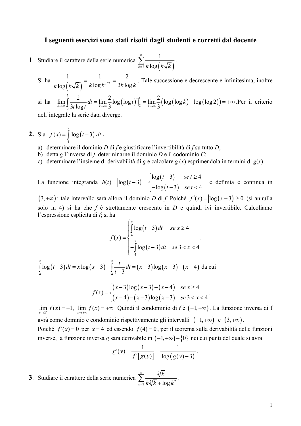## I seguenti esercizi sono stati risolti dagli studenti e corretti dal docente

- **1**. Studiare il carattere della serie numerica  $\sum_{k=2}^{\infty} \frac{1}{k \log (k \sqrt{k})}$ .
	- Si ha  $\frac{1}{k \log(k \sqrt{k})} = \frac{1}{k \log k^{3/2}} = \frac{2}{3k \log k}$ . Tale successione è decrescente e infinitesima, inoltre

si ha  $\lim_{k \to \infty} \int_{2}^{k} \frac{2}{3t \log t} dt = \lim_{k \to \infty} \frac{2}{3} \log(\log t) \Big]_{2}^{k} = \lim_{k \to \infty} \frac{2}{3} (\log(\log k) - \log(\log 2)) = +\infty$ . Per il criterio

dell'integrale la serie data diverge.

- **2.** Sia  $f(x) = \int_0^x \left| \log(t-3) \right| dt$ .
	- a) determinare il dominio D di  $f$ e giustificare l'invertibilità di  $f$  su tutto D;
	- b) detta g l'inversa di f, determinarne il dominio  $D$  e il codominio  $C$ ;
	- c) determinare l'insieme di derivabilità di g e calcolare  $g(x)$  esprimendola in termini di  $g(x)$ .

La funzione integranda  $h(t) = |\log(t-3)| = \begin{cases} \log(t-3) & \text{se } t \ge 4 \\ -\log(t-3) & \text{se } t < 4 \end{cases}$  è definita e continua in

 $(3, +\infty)$ ; tale intervallo sarà allora il dominio D di f. Poiché  $f'(x) = |\log(x-3)| \ge 0$  (si annulla solo in 4) si ha che  $f \text{ è}$  strettamente crescente in  $D$  e quindi ivi invertibile. Calcoliamo l'espressione esplicita di  $f$ ; si ha

$$
f(x) = \begin{cases} \int_{4}^{x} \log(t-3) dt & \text{se } x \ge 4\\ -\int_{4}^{x} \log(t-3) dt & \text{se } 3 < x < 4 \end{cases}
$$

 $\int_{4}^{x} \log(t-3) dt = x \log(x-3) - \int_{1}^{x} \frac{t}{t-3} dt = (x-3) \log(x-3) - (x-4)$ da cui

$$
f(x) = \begin{cases} (x-3)\log(x-3) - (x-4) & \text{se } x \ge 4\\ (x-4) - (x-3)\log(x-3) & \text{se } 3 < x < 4 \end{cases}
$$

 $\lim_{x\to 3^+} f(x) = -1$ ,  $\lim_{x\to +\infty} f(x) = +\infty$ . Quindi il condominio di  $f \in (-1, +\infty)$ . La funzione inversa di f avrà come dominio e condominio rispettivamente gli intervalli  $(-1, +\infty)$  e  $(3, +\infty)$ . Poiché  $f'(x) = 0$  per  $x = 4$  ed essendo  $f(4) = 0$ , per il teorema sulla derivabilità delle funzioni inverse, la funzione inversa g sarà derivabile in  $(-1, +\infty) - \{0\}$  nei cui punti del quale si avrà

$$
g'(y) = \frac{1}{f'[g(y)]} = \frac{1}{|\log(g(y)-3)|}.
$$

**3**. Studiare il carattere della serie numerica  $\sum_{k=1}^{\infty} \frac{\sqrt[3]{k}}{k^{\frac{5}{2}}k + \log k^2}$ .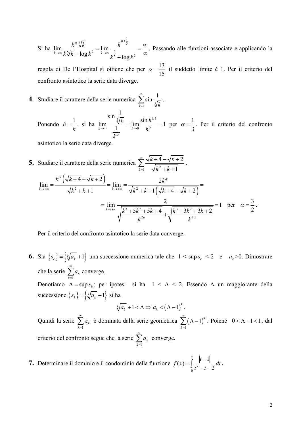Si ha  $\lim_{k \to \infty} \frac{k^{\alpha} \sqrt[3]{k}}{k \sqrt[5]{k} + \log k^2} = \lim_{k \to \infty} \frac{k^{\alpha + \frac{1}{3}}}{k^{\frac{6}{5}} + \log k^2} = \frac{\infty}{\infty}$ . Passando alle funzioni associate e applicando la

regola di De l'Hospital si ottiene che per  $\alpha = \frac{13}{15}$  il suddetto limite è 1. Per il criterio del confronto asintotico la serie data diverge.

4. Studiare il carattere della serie numerica  $\sum_{n=1}^{\infty} \sin \frac{1}{\sqrt[n]{k}}$ .

Ponendo  $h = \frac{1}{k}$ , si ha  $\lim_{k \to \infty} \frac{\sin \frac{1}{\sqrt[3]{k}}}{\frac{1}{k}} = \lim_{h \to 0} \frac{\sin h^{1/3}}{h^{\alpha}} = 1$  per  $\alpha = \frac{1}{3}$ . Per il criterio del confronto

asintotico la serie data diverge.

5. Studiare il caratter della serie numerica 
$$
\sum_{k=1}^{\infty} \frac{\sqrt{k+4} - \sqrt{k+2}}{\sqrt{k^2 + k + 1}}.
$$
  

$$
\lim_{k \to +\infty} = \frac{k^{\alpha}(\sqrt{k+4} - \sqrt{k+2})}{\sqrt{k^2 + k + 1}} = \lim_{k \to +\infty} = \frac{2k^{\alpha}}{\sqrt{k^2 + k + 1}(\sqrt{k+4} + \sqrt{k+2})} =
$$

$$
= \lim_{k \to +\infty} \frac{2}{\sqrt{\frac{k^3 + 5k^2 + 5k + 4}{k^2 + 1}} + \sqrt{\frac{k^3 + 3k^2 + 3k + 2}{k^2}}} = 1 \text{ per } \alpha = \frac{3}{2}.
$$

Per il criterio del confronto asintotico la serie data converge.

**6.** Sia  $\{s_k\} = \{\sqrt[k]{a_k} + 1\}$  una successione numerica tale che  $1 < \sup s_k < 2$  e  $a_k > 0$ . Dimostrare che la serie  $\sum_{k=1}^{\infty} a_k$  converge. Denotiamo  $\Lambda = \sup s_k$ ; per ipotesi si ha  $1 < \Lambda < 2$ . Essendo  $\Lambda$  un maggiorante della

successione  $\{s_k\} = \left\{\sqrt[k]{a_k} + 1\right\}$  si ha

$$
\sqrt[k]{a_k} + 1 < \Lambda \Rightarrow a_k < \left(\Lambda - 1\right)^k.
$$

Quindi la serie  $\sum_{k=1}^{\infty} a_k$  è dominata dalla serie geometrica  $\sum_{k=1}^{\infty} (\Lambda - 1)^k$ . Poiché  $0 < \Lambda - 1 < 1$ , dal criterio del confronto segue che la serie  $\sum_{k=1}^{\infty} a_k$  converge.

7. Determinare il dominio e il condominio della funzione  $f(x) = \int_{0}^{\infty} \frac{|t-1|}{t^2 - t - 2} dt$ .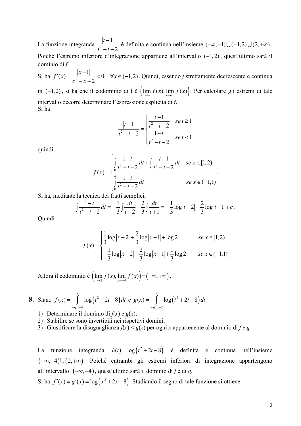La funzione integranda  $\frac{|t-1|}{t^2-t-2}$  è definita e continua nell'insieme  $(-\infty,-1) \cup (-1,2) \cup (2,+\infty)$ . Poiché l'estremo inferiore d'integrazione appartiene all'intervallo  $(-1,2)$ , quest'ultimo sarà il dominio di  $f$ .

Si ha  $f'(x) = \frac{|x-1|}{x^2 - x^2} < 0$   $\forall x \in (-1,2)$ . Quindi, essendo f strettamente decrescente e continua in (-1,2), si ha che il codominio di f è  $\left(\lim_{x\to 2} f(x), \lim_{x\to -1} f(x)\right)$ . Per calcolare gli estremi di tale intervallo occorre determinare l'espressione esplicita di f. Si ha

$$
\frac{|t-1|}{t^2 - t - 2} = \begin{cases} \frac{t-1}{t^2 - t - 2} & \text{se } t \ge 1\\ \frac{1-t}{t^2 - t - 2} & \text{se } t < 1 \end{cases}
$$

quindi

$$
f(x) = \begin{cases} \int_{0}^{1} \frac{1-t}{t^2 - t - 2} dt + \int_{1}^{x} \frac{t-1}{t^2 - t - 2} dt & \text{se } x \in [1, 2) \\ \int_{0}^{x} \frac{1-t}{t^2 - t - 2} dt & \text{se } x \in (-1, 1) \end{cases}
$$

Si ha, mediante la tecnica dei fratti semplici,

$$
\int \frac{1-t}{t^2-t-2} dt = -\frac{1}{3} \int \frac{dt}{t-2} - \frac{2}{3} \int \frac{dt}{t+1} = -\frac{1}{3} \log|t-2| - \frac{2}{3} \log|t+1| + c.
$$

Quindi

$$
f(x) = \begin{cases} \frac{1}{3}\log|x-2| + \frac{2}{3}\log|x+1| + \log 2 & \text{se } x \in [1,2) \\ -\frac{1}{3}\log|x-2| - \frac{2}{3}\log|x+1| + \frac{1}{3}\log 2 & \text{se } x \in (-1,1) \end{cases}
$$

Allora il codominio è  $\left(\lim_{x\to 2} f(x), \lim_{x\to -1} f(x)\right) = (-\infty, +\infty)$ 

**8.** Siano 
$$
f(x) = \int_{-\sqrt{10}-1}^{x} \log(t^2 + 2t - 8) dt
$$
 e  $g(x) = \int_{-\sqrt{10}-2}^{x} \log(t^2 + 2t - 8) dt$ 

1) Determinare il dominio di  $f(x)$  e  $g(x)$ ;

- 2) Stabilire se sono invertibili nei rispettivi domini;
- 3) Giustificare la disuguaglianza  $f(x) < g(x)$  per ogni x appartenente al dominio di f e g.

funzione integranda  $h(t) = \log(t^2 + 2t - 8)$  è definita e continua nell'insieme La  $(-\infty,-4) \cup (2,+\infty)$ . Poiché entrambi gli estremi inferiori di integrazione appartengono all'intervallo  $(-\infty, -4)$ , quest'ultimo sarà il dominio di f e di g.

Si ha  $f'(x) = g'(x) = \log(x^2 + 2x - 8)$ . Studiando il segno di tale funzione si ottiene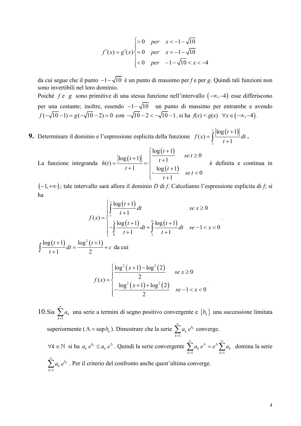$$
f'(x) = g'(x) \begin{cases} > 0 & per & x < -1 - \sqrt{10} \\ = 0 & per & x = -1 - \sqrt{10} \\ < 0 & per & -1 - \sqrt{10} < x < -4 \end{cases}
$$

da cui segue che il punto  $-1-\sqrt{10}$  è un punto di massimo per f e per g. Quindi tali funzioni non sono invertibili nel loro dominio.

Poiché  $f e g$  sono primitive di una stessa funzione nell'intervallo  $(-\infty, -4)$  esse differiscono per una costante; inoltre, essendo  $-1-\sqrt{10}$  un punto di massimo per entrambe e avendo  $f(-\sqrt{10}-1) = g(-\sqrt{10}-2) = 0$  con  $-\sqrt{10}-2 < -\sqrt{10}-1$ , si ha  $f(x) < g(x)$   $\forall x \in (-\infty, -4)$ .

9. Determinare il dominio e l'espressione esplicita della funzione  $f(x) = \int_{1}^{x} \frac{|\log(t+1)|}{t+1} dt$ .

La funzione integranda  $h(t) = \frac{\left|\log(t+1)\right|}{t+1} = \begin{cases} \frac{\log(t+1)}{t+1} & \text{se } t \ge 0 \\ -\frac{\log(t+1)}{t+1} & \text{se } t < 0 \end{cases}$ è definita e continua in

 $(-1, +\infty)$ ; tale intervallo sarà allora il dominio D di f. Calcoliamo l'espressione esplicita di f; si ha

$$
f(x) = \begin{cases} \int_{1}^{x} \frac{\log(t+1)}{t+1} dt & \text{se } x \ge 0\\ -\int_{0}^{x} \frac{\log(t+1)}{t+1} dt + \int_{1}^{0} \frac{\log(t+1)}{t+1} dt & \text{se } -1 < x < 0 \end{cases}
$$
\n
$$
\int \frac{\log(t+1)}{t+1} dt = \frac{\log^{2}(t+1)}{2} + c \quad \text{da cui}
$$
\n
$$
\int \frac{\log^{2}(x+1) - \log^{2}(2)}{2} \quad \text{se } x \ge 0
$$

$$
f(x) = \begin{cases} 2 & \text{se } x \ge 0 \\ -\frac{\log^2(x+1) + \log^2(2)}{2} & \text{se } -1 < x < 0 \end{cases}
$$

10. Sia  $\sum_{k=1}^{\infty} a_k$  una serie a termini di segno positivo convergente e  $\{b_k\}$  una successione limitata superiormente ( $\Lambda = \sup b_k$ ). Dimostrare che la serie  $\sum_{k=1}^{\infty} a_k e^{b_k}$  converge.  $\forall k \in \mathbb{N}$  si ha  $a_k e^{b_k} \le a_k e^{\Lambda}$ . Quindi la serie convergente  $\sum_{k=1}^{\infty} a_k e^{\Lambda} = e^{\Lambda} \sum_{k=1}^{\infty} a_k$  domina la serie  $\sum^{\infty} a_k e^{b_k}$ . Per il criterio del confronto anche quest'ultima converge.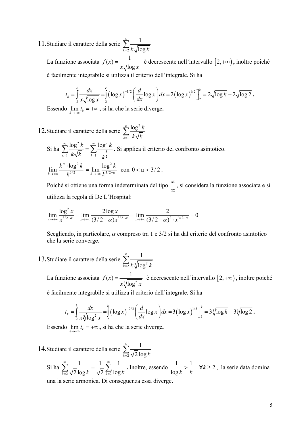11. Studiare il carattere della serie  $\sum_{k=1}^{\infty} \frac{1}{k \sqrt{\log k}}$ 

La funzione associata  $f(x) = \frac{1}{x\sqrt{\log x}}$  è decrescente nell'intervallo  $[2, +\infty)$ , inoltre poiché è facilmente integrabile si utilizza il criterio dell'integrale. Si ha

$$
t_k = \int_2^k \frac{dx}{x\sqrt{\log x}} = \int_2^k (\log x)^{-1/2} \left(\frac{d}{dx} \log x\right) dx = 2\left(\log x\right)^{1/2} \Big]_2^k = 2\sqrt{\log k} - 2\sqrt{\log 2}.
$$

Essendo  $\lim_{k \to +\infty} t_k = +\infty$ , si ha che la serie diverge.

12. Studiare il carattere della serie  $\sum_{k=1}^{\infty} \frac{\log^2 k}{k \sqrt{k}}$ Si ha  $\sum_{k=1}^{\infty} \frac{\log^2 k}{k\sqrt{k}} = \sum_{k=1}^{\infty} \frac{\log^2 k}{k^{\frac{3}{2}}}$ . Si applica il criterio del confronto asintotico.  $\lim_{k \to \infty} \frac{k^{\alpha} \cdot \log^2 k}{k^{3/2}} = \lim_{k \to \infty} \frac{\log^2 k}{k^{3/2 - \alpha}} \text{ con } 0 < \alpha < 3/2.$ 

Poiché si ottiene una forma indeterminata del tipo  $\frac{\infty}{\infty}$ , si considera la funzione associata e si utilizza la regola di De L'Hospital:

$$
\lim_{x \to +\infty} \frac{\log^2 x}{x^{3/2 - \alpha}} = \lim_{x \to +\infty} \frac{2 \log x}{(3/2 - \alpha) x^{3/2 - \alpha}} = \lim_{x \to +\infty} \frac{2}{(3/2 - \alpha)^2 \cdot x^{3/2 - \alpha}} = 0
$$

Scegliendo, in particolare,  $\alpha$  compreso tra 1 e  $3/2$  si ha dal criterio del confronto asintotico che la serie converge.

13. Studiare il carattere della serie  $\sum_{k=2}^{\infty} \frac{1}{k^3 \sqrt{\log^2 k}}$ 

La funzione associata  $f(x) = \frac{1}{x^{\frac{3}{2}} \ln \alpha^2 r}$  è decrescente nell'intervallo  $[2, +\infty)$ , inoltre poiché

è facilmente integrabile si utilizza il criterio dell'integrale. Si ha

$$
t_k = \int_2^k \frac{dx}{x \sqrt[3]{\log^2 x}} = \int_2^k (\log x)^{-2/3} \left(\frac{d}{dx} \log x\right) dx = 3 \left(\log x\right)^{1/3} \Big]_2^k = 3\sqrt[3]{\log k} - 3\sqrt[3]{\log 2}.
$$

Essendo  $\lim_{k \to +\infty} t_k = +\infty$ , si ha che la serie diverge.

14. Studiare il carattere della serie  $\sum_{k=2}^{\infty} \frac{1}{\sqrt{2} \log k}$ 

Si ha  $\sum_{k=2}^{\infty} \frac{1}{\sqrt{2} \log k} = \frac{1}{\sqrt{2}} \sum_{k=2}^{\infty} \frac{1}{\log k}$ . Inoltre, essendo  $\frac{1}{\log k} > \frac{1}{k}$   $\forall k \ge 2$ , la serie data domina

una la serie armonica. Di conseguenza essa diverge.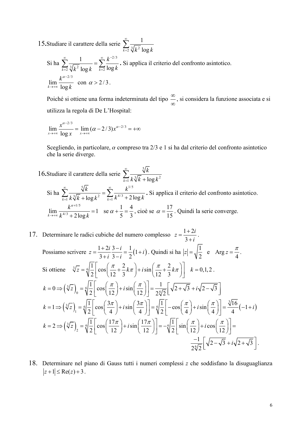15. Studiare il carattere della serie  $\sum_{k=2}^{\infty} \frac{1}{\sqrt[3]{k^2} \log k}$ 

$$
\text{Si ha } \sum_{k=2}^{\infty} \frac{1}{\sqrt[3]{k^2} \log k} = \sum_{k=2}^{\infty} \frac{k^{-2/3}}{\log k}. \text{ Si applied in the direction of the form } \sum_{k=2}^{\infty} \frac{1}{\sqrt[3]{k^2} \log k} \text{ for } k \ge 2/3.
$$

Poiché si ottiene una forma indeterminata del tipo  $\frac{\infty}{\infty}$ , si considera la funzione associata e si utilizza la regola di De L'Hospital:

$$
\lim_{x \to +\infty} \frac{x^{\alpha - 2/3}}{\log x} = \lim_{x \to +\infty} (\alpha - 2/3) x^{\alpha - 2/3} = +\infty
$$

Scegliendo, in particolare,  $\alpha$  compreso tra 2/3 e 1 si ha dal criterio del confronto asintotico che la serie diverge.

- 16. Studiare il carattere della serie  $\sum_{k=1}^{\infty} \frac{\sqrt[3]{k}}{k^{\frac{3}{2}} \sqrt[k]{k} + \log k^2}$ Si ha  $\sum_{k=1}^{\infty} \frac{\sqrt[5]{k}}{k^3/\sqrt[5]{k} + \log k^2} = \sum_{k=1}^{\infty} \frac{k^{1/5}}{k^{4/3} + 2\log k}$ . Si applica il criterio del confronto asintotico.  $\lim_{k\to\infty}\frac{k^{\alpha+1/5}}{k^{4/3}+2\log k}=1 \text{ se } \alpha+\frac{1}{5}=\frac{4}{3}, \text{ cioè se } \alpha=\frac{17}{15}.$  Quindi la serie converge.
- 17. Determinare le radici cubiche del numero complesso  $z = \frac{1+2i}{2+i}$ . Possiamo scrivere  $z = \frac{1+2i}{3+i} \frac{3-i}{3-i} = \frac{1}{2}(1+i)$ . Quindi si ha  $|z| = \sqrt{\frac{1}{2}}$  e Arg  $z = \frac{\pi}{4}$ . Si ottiene  $\sqrt[3]{z} = \sqrt[6]{\frac{1}{2}} \left[ \cos \left( \frac{\pi}{12} + \frac{2}{3} k \pi \right) + i \sin \left( \frac{\pi}{12} + \frac{2}{3} k \pi \right) \right]$   $k = 0, 1, 2$ .  $k = 0 \Rightarrow \left(\sqrt[3]{z}\right)_0 = \sqrt[6]{\frac{1}{2}} \left[\cos\left(\frac{\pi}{12}\right) + i\sin\left(\frac{\pi}{12}\right)\right] = \frac{1}{2\sqrt[6]{2}} \left[\sqrt{2 + \sqrt{3}} + i\sqrt{2 - \sqrt{3}}\right]$  $k = 1 \Longrightarrow \left(\sqrt[3]{z}\right)_1 = \sqrt[6]{\frac{1}{2}} \left[\cos\left(\frac{3\pi}{4}\right) + i\sin\left(\frac{3\pi}{4}\right)\right] = \sqrt[6]{\frac{1}{2}} \left[-\cos\left(\frac{\pi}{4}\right) + i\sin\left(\frac{\pi}{4}\right)\right] = \frac{\sqrt[3]{16}}{4} \left(-1 + i\right)$  $k=2 \Longrightarrow \left(\sqrt[3]{z}\right)_2 = \sqrt[6]{\frac{1}{2}}\left[\cos\left(\frac{17\pi}{12}\right) + i\sin\left(\frac{17\pi}{12}\right)\right] = -\sqrt[6]{\frac{1}{2}}\left[\sin\left(\frac{\pi}{12}\right) + i\cos\left(\frac{\pi}{12}\right)\right] =$  $\frac{-1}{2\sqrt{2}}\left[\sqrt{2-\sqrt{3}}+i\sqrt{2+\sqrt{3}}\right]$ .
- 18. Determinare nel piano di Gauss tutti i numeri complessi z che soddisfano la disuguaglianza  $|z+1| \leq Re(z) + 3$ .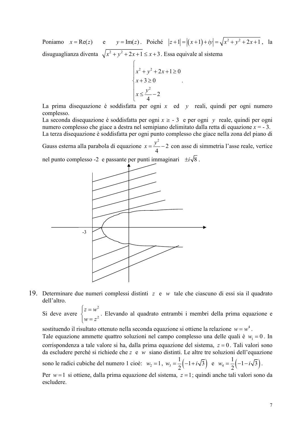Poniamo  $x = \text{Re}(z)$  e  $y = \text{Im}(z)$ . Poiché  $|z+1| = |(x+1) + iy| = \sqrt{x^2 + y^2 + 2x + 1}$ , la disuguaglianza diventa  $\sqrt{x^2 + y^2 + 2x + 1} \le x + 3$ . Essa equivale al sistema

$$
\begin{cases}\nx^2 + y^2 + 2x + 1 \ge 0 \\
x + 3 \ge 0 \\
x \le \frac{y^2}{4} - 2\n\end{cases}
$$

La prima disequazione è soddisfatta per ogni  $x$  ed  $y$  reali, quindi per ogni numero complesso.

La seconda disequazione è soddisfatta per ogni  $x \ge -3$  e per ogni y reale, quindi per ogni numero complesso che giace a destra nel semipiano delimitato dalla retta di equazione  $x = -3$ . La terza disequazione è soddisfatta per ogni punto complesso che giace nella zona del piano di

Gauss esterna alla parabola di equazione  $x = \frac{y^2}{4} - 2$  con asse di simmetria l'asse reale, vertice

nel punto complesso -2 e passante per punti immaginari  $\pm i\sqrt{8}$ .



19. Determinare due numeri complessi distinti  $z \in w$  tale che ciascuno di essi sia il quadrato dell'altro.

Si deve avere  $\begin{cases} z = w^2 \\ -z^2 \end{cases}$ . Elevando al quadrato entrambi i membri della prima equazione e

sostituendo il risultato ottenuto nella seconda equazione si ottiene la relazione  $w = w^4$ . Tale equazione ammette quattro soluzioni nel campo complesso una delle quali è  $w_i = 0$ . In corrispondenza a tale valore si ha, dalla prima equazione del sistema,  $z = 0$ . Tali valori sono da escludere perché si richiede che  $z \neq w$  siano distinti. Le altre tre soluzioni dell'equazione sono le radici cubiche del numero 1 cioè:  $w_2 = 1$ ,  $w_3 = \frac{1}{2} \left(-1 + i\sqrt{3}\right)$  e  $w_4 = \frac{1}{2} \left(-1 - i\sqrt{3}\right)$ .

Per  $w=1$  si ottiene, dalla prima equazione del sistema,  $z=1$ ; quindi anche tali valori sono da escludere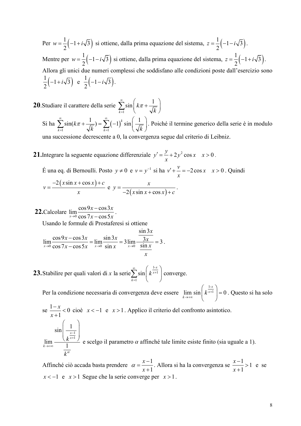Per  $w = \frac{1}{2}(-1 + i\sqrt{3})$  si ottiene, dalla prima equazione del sistema,  $z = \frac{1}{2}(-1 - i\sqrt{3})$ . Mentre per  $w = \frac{1}{2}(-1 - i\sqrt{3})$  si ottiene, dalla prima equazione del sistema,  $z = \frac{1}{2}(-1 + i\sqrt{3})$ . Allora gli unici due numeri complessi che soddisfano alle condizioni poste dall'esercizio sono  $\frac{1}{2}(-1+i\sqrt{3})$  e  $\frac{1}{2}(-1-i\sqrt{3})$ .

- **20**. Studiare il carattere della serie  $\sum_{k=1}^{\infty} \sin\left(k\pi + \frac{1}{\sqrt{k}}\right)$ Si ha  $\sum_{k=1}^{\infty} \sin(k\pi + \frac{1}{\sqrt{k}}) = \sum_{k=1}^{\infty} (-1)^k \sin\left(\frac{1}{\sqrt{k}}\right)$ . Poiché il termine generico della serie è in modulo una successione decrescente a 0, la convergenza segue dal criterio di Leibniz.
- **21.** Integrare la seguente equazione differenziale  $y' = \frac{y}{x} + 2y^2 \cos x$   $x > 0$ .
	- É una eq. di Bernoulli. Posto  $y \neq 0$  e  $v = y^{-1}$  si ha  $v' + \frac{v}{x} = -2\cos x$   $x > 0$ . Quindi  $v = \frac{-2(x \sin x + \cos x) + c}{x}$  e  $y = \frac{x}{-2(x \sin x + \cos x) + c}$ .

22. Calcolare  $\lim_{x\to 0} \frac{\cos 9x - \cos 3x}{\cos 7x - \cos 5x}$ Usando le formule di Prostaferesi si ottiene

$$
\lim_{x \to 0} \frac{\cos 9x - \cos 3x}{\cos 7x - \cos 5x} = \lim_{x \to 0} \frac{\sin 3x}{\sin x} = 3 \lim_{x \to 0} \frac{\frac{\sin 3x}{3x}}{\frac{\sin x}{x}} = 3
$$

**23.** Stabilire per quali valori di x la serie $\sum_{n=1}^{\infty} \sin\left(k^{\frac{1-x}{x+1}}\right)$  converge.

Per la condizione necessaria di convergenza deve essere  $\lim_{k \to \infty} \sin\left(k^{\frac{1-x}{x+1}}\right) = 0$ . Questo si ha solo

se 
$$
\frac{1-x}{x+1} < 0
$$
cioè  $x < -1$  e  $x > 1$ . Applico il criterio del confronto asintotico.  
\n
$$
\sin\left(\frac{1}{k^{\frac{x-1}{x+1}}}\right)
$$
\n
$$
\lim_{k \to +\infty} \frac{1}{\frac{1}{k^{\alpha}}}
$$
\ne scelgo il parametro  $\alpha$  affinché tale limite esiste finito (sia uguale a 1).

Affinché ciò accada basta prendere  $\alpha = \frac{x-1}{x+1}$ . Allora si ha la convergenza se  $\frac{x-1}{x+1} > 1$  e se  $x < -1$  e  $x > 1$  Segue che la serie converge per  $x > 1$ .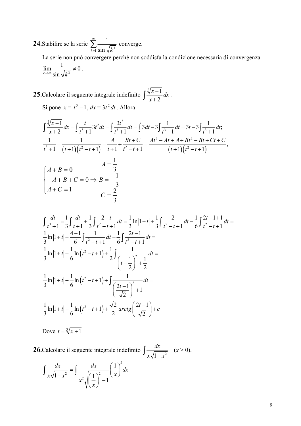**24.**Stabilire se la serie  $\sum_{k=1}^{\infty} \frac{1}{\sin \sqrt{k^3}}$  converge.

La serie non può convergere perché non soddisfa la condizione necessaria di convergenza  $\lim_{k\to\infty}\frac{1}{\sin\sqrt{k^3}}\neq 0.$ 

**25.** Calcolare il seguente integrale indefinito  $\int \frac{\sqrt[3]{x+1}}{x+2} dx$ .<br>Si pone  $x = t^3 - 1$ ,  $dx = 3t^2 dt$ . Allora

$$
\int \frac{\sqrt[3]{x+1}}{x+2} dx = \int \frac{t}{t^3+1} 3t^2 dt = \int \frac{3t^3}{t^3+1} dt = \int 3dt - 3\int \frac{1}{t^3+1} dt = 3t - 3\int \frac{1}{t^3+1} dt;
$$
  
\n
$$
\frac{1}{t^3+1} = \frac{1}{(t+1)(t^2-t+1)} = \frac{A}{t+1} + \frac{Bt+C}{t^2-t+1} = \frac{At^2 - At + A + Bt^2 + Bt + Ct + C}{(t+1)(t^2-t+1)},
$$
  
\n
$$
A = \frac{1}{3}
$$
  
\n
$$
\begin{cases}\nA+B=0 & A=B+C=0 \Rightarrow B=-\frac{1}{3} \\
A+C=1 & C=\frac{2}{3}\n\end{cases}
$$

$$
\int \frac{dt}{t^3 + 1} = \frac{1}{3} \int \frac{dt}{t + 1} + \frac{1}{3} \int \frac{2 - t}{t^2 - t + 1} dt = \frac{1}{3} \ln|1 + t| + \frac{1}{3} \int \frac{2}{t^2 - t + 1} dt - \frac{1}{6} \int \frac{2t - 1 + 1}{t^2 - t + 1} dt =
$$
  
\n
$$
\frac{1}{3} \ln|1 + t| + \frac{4 - 1}{6} \int \frac{1}{t^2 - t + 1} dt - \frac{1}{6} \int \frac{2t - 1}{t^2 - t + 1} dt =
$$
  
\n
$$
\frac{1}{3} \ln|1 + t| - \frac{1}{6} \ln(t^2 - t + 1) + \frac{1}{2} \int \frac{1}{\left(t - \frac{1}{2}\right)^2 + \frac{1}{2}} dt =
$$
  
\n
$$
\frac{1}{3} \ln|1 + t| - \frac{1}{6} \ln(t^2 - t + 1) + \int \frac{1}{\left(\frac{2t - 1}{\sqrt{2}}\right)^2 + 1} dt =
$$
  
\n
$$
\frac{1}{3} \ln|1 + t| - \frac{1}{6} \ln(t^2 - t + 1) + \frac{\sqrt{2}}{2} \arctg\left(\frac{2t - 1}{\sqrt{2}}\right) + c
$$

Dove  $t = \sqrt[3]{x+1}$ 

**26.** Calcolare il seguente integrale indefinito  $\int \frac{dx}{x\sqrt{1-x^2}}$   $(x > 0)$ .

$$
\int \frac{dx}{x\sqrt{1-x^2}} = \int \frac{dx}{x^2\sqrt{\left(\frac{1}{x}\right)^2 - 1}} \left(\frac{1}{x}\right)^2 dx
$$